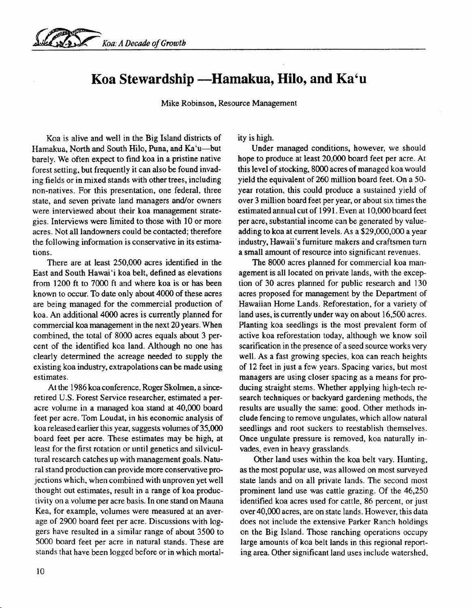

## Koa Stewardship -Hamakua, Hilo, and Ka'u

Mike Robinson, Resource Management

Koa is alive and well in the Big Island districts of Hamakua, North and South Hilo, Puna, and Ka'u-but barely. We often expect to find koa in a pristine native forest setting, but frequently it can also be found invading fields or in mixed stands with other trees, including non-natives. For this presentation, one federal, three state, and seven private land managers and/or owners were interviewed about their koa management strategies. Interviews were limited to those with 10 or more acres. Not all landowners could be contacted; therefore the following information is conservative in its estimations.

There are at least 250,000 acres identified in the East and South Hawai'i koa belt, defined as elevations from 1200 ft to 7000 ft and where koa is or has been known to occur. To date only about 4000 of these acres are being managed for the commercial production of koa. An additional 4000 acres is currently planned for commercial koa management in the next 20 years. When combined, the total of 8000 acres equals about 3 percent of the identified koa land. Although no one has clearly determined the acreage needed to supply the existing koa industry, extrapolations can be made using estimates.

At the 1986 koa conference, Roger Skolmen, a sinceretired U.S. Forest Service researcher, estimated a peracre volume in a managed koa stand at 40,000 board feet per acre. Tom Loudat, in his economic analysis of koa released earlier this year, suggests volumes of 35,000 board feet per acre. These estimates may be high, at least for the first rotation or until genetics and silvicultural research catches up with management goals. Natural stand production can provide more conservative projections which, when combined with unproven yet well thought out estimates, result in a range of koa productivity on a volume per acre basis. In one stand on Mauna Kea, for example, volumes were measured at an average of 2900 board feet per acre. Discussions with loggers have resulted in a similar range of about 3500 to 5000 board feet per acre in natural stands. These are stands that have been logged before or in which mortality is high.

Under managed conditions, however, we should hope to produce at least 20,000 board feet per acre. At this level of stocking, 8000 acres of managed koa would yield the equivalent of 260 million board feet. On a 50 year rotation, this could produce a sustained yield of over 3 million board feet per year, or about six times the estimated annual cut of 1991. Even at 10,000 board feet per acre, substantial income can be generated by valueadding to koa at current levels. As a \$29,000,000 a year industry, Hawaii's furniture makers and craftsmen turn a small amount of resource into significant revenues.

The 8000 acres planned for commercial koa management is all located on private lands, with the exception of 30 acres planned for public research and 130 acres proposed for management by the Department of Hawaiian Home Lands. Reforestation, for a variety of land uses, is currently under way on about 16,500 acres. Planting koa seedlings is the most prevalent form of active koa reforestation today, although we know soil scarification in the presence of a seed source works very well. As a fast growing species, koa can reach heights of 12 feet in just a few years. Spacing varies, but most managers are using closer spacing as a means for producing straight stems. Whether applying high-tech research techniques or backyard gardening methods, the results are usually the same: good. Other methods include fencing to remove ungulates, which allow natural seedlings and root suckers to reestablish themselves. Once ungulate pressure is removed, koa naturally invades, even in heavy grasslands.

Other land uses within the koa belt vary. Hunting, as the most popular use, was allowed on most surveyed state lands and on all private lands. The second most prominent land use was cattle grazing. Of the 46,250 identified koa acres used for cattle, 86 percent, or just over 40,000 acres, are on state lands. However, this data does not include the extensive Parker Ranch holdings on the Big Island. Those ranching operations occupy large amounts of koa belt lands in this regional reporting area. Other significant land uses include watershed,